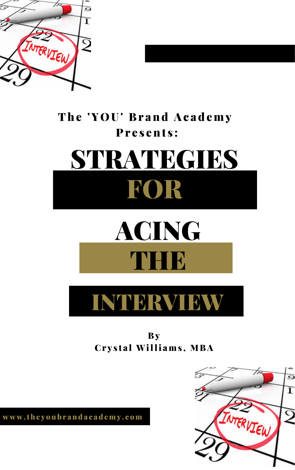

### The 'YOU' Brand Academy Presents:

# STRATEGIES ROR

## ACING





### **By** Crystal Williams, MBA

www.theyoubrandacademy.com

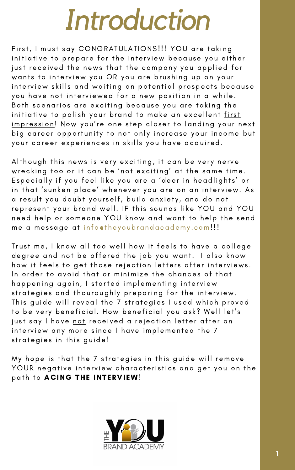## *Introduction*

First, I must say CONGRATULATIONS!!! YOU are taking initiative to prepare for the interview because you either just received the news that the company you applied for wants to interview you OR you are brushing up on your interview skills and waiting on potential prospects because you have not interviewed for a new position in a while. Both scenarios are exciting because you are taking the initiative to polish your brand to make an excellent first <u>impression</u>! Now you're one step closer to landing your next big career opportunity to not only increase your income but your career experiences in skills you have acquired.

Although this news is very exciting, it can be very nerve wrecking too or it can be 'not exciting' at the same time. Especially if you feel like you are a 'deer in headlights' or in that 'sunken place' whenever you are on an interview. As a result you doubt yourself, build anxiety, and do not represent your brand well. IF this sounds like YOU and YOU need help or someone YOU know and want to help the send me a message at info@theyoubrandacademy.com!!!

Trust me, I know all too well how it feels to have a college

degree and not be offered the job you want. I also know how it feels to get those rejection letters after interviews. In order to avoid that or minimize the chances of that happening again, I started implementing interview strategies and thouroughly preparing for the interview. This guide will reveal the 7 strategies I used which proved to be very beneficial. How beneficial you ask? Well let's just say I have not received a rejection letter after an interview any more since I have implemented the 7 strategies in this guide!

My hope is that the 7 strategies in this guide will remove YOUR negative interview characteristics and get you on the path to ACING THE INTERVIEW!

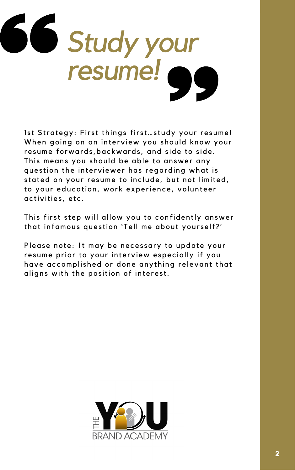

Ist Strategy: First things first...study your resume! When going on an interview you should know your resume forwards, backwards, and side to side. This means you should be able to answer any question the interviewer has regarding what is stated on your resume to include, but not limited, to your education, work experience, volunteer activities, etc.

This first step will allow you to confidently answer that infamous question 'Tell me about yourself?'

Please note: It may be necessary to update your

resume prior to your interview especially if you have accomplished or done anything relevant that aligns with the position of interest.

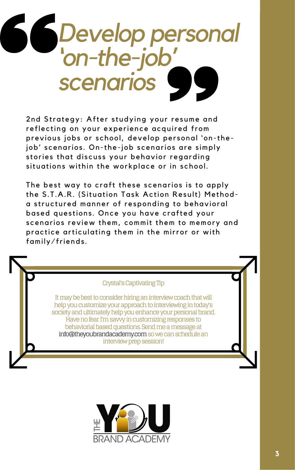

2nd Strategy: After studying your resume and reflecting on your experience acquired from previous jobs or school, develop personal 'on-thejob' scenarios. On-the-job scenarios are simply stories that discuss your behavior regarding situations within the workplace or in school.

The best way to craft these scenarios is to apply the S.T.A.R. (Situation Task Action Result) Methoda structured manner of responding to behavioral based questions. Once you have crafted your scenarios review them, commit them to memory and practice articulating them in the mirror or with family/friends.

#### **Crystal's Captivating Tip**

It may be best to consider hiring an interview coach that will help you customize your approach to interviewing in today's society and ultimately help you enhance your personal brand. Have no fear I'm savvy in customizing responses to behaviorial based questions. Send me a message at info@theyoubrandacademy.com so we can schedule an interview prep session!

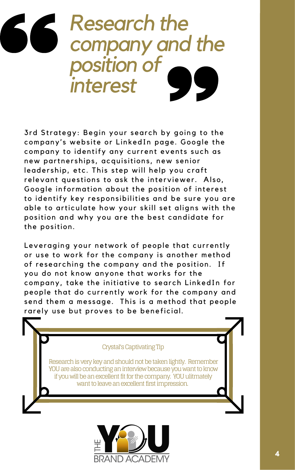### *Research the company and the position of interest*

3rd Strategy: Begin your search by going to the company's website or LinkedIn page. Google the company to identify any current events such as new partnerships, acquisitions, new senior leadership, etc. This step will help you craft relevant questions to ask the interviewer. Also, Google information about the position of interest to identify key responsibilities and be sure you are able to articulate how your skill set aligns with the position and why you are the best candidate for the position.

Leveraging your network of people that currently

or use to work for the company is another method of researching the company and the position. If you do not know anyone that works for the company, take the initiative to search LinkedIn for people that do currently work for the company and send them a message. This is a method that people rarely use but proves to be beneficial.

#### Crystal's Captivating Tip

Research is very key and should not be taken lightly. Remember YOU are also conducting an interview because you want to know if you will be an excellent fit for the company. YOU ulitmately want to leave an excellent first impression.

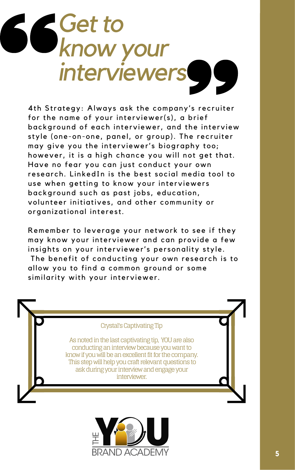## *Get to know your interviewers*

4th Strategy: Always ask the company's recruiter for the name of your interviewer( $s$ ), a brief bac kground of each interviewer, and the interview style (one-on-one, panel, or group). The recruiter may give you the interviewer's biography too; however, it is a high chance you will not get that. Have no fear you can just conduct your own research. LinkedIn is the best social media tool to use when getting to know your interviewers background such as past jobs, education, volunteer initiatives, and other community or organizational interest.

Remember to leverage your network to see if they may know your interviewer and can provide a few insights on your interviewer's personality style. The benefit of conducting your own research is to allow you to find a common ground or some similarity with your interviewer.



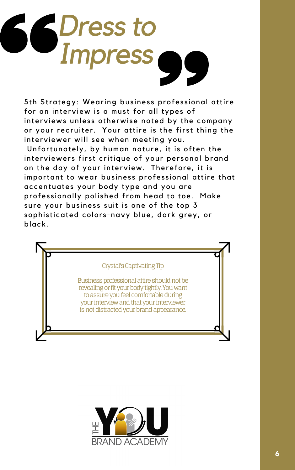

5th Strategy: Wearing business professional attire for an interview is a must for all types of interviews unless otherwise noted by the company or your recruiter. Your attire is the first thing the interviewer will see when meeting you. Unfortunately, by human nature, it is often the interviewers first critique of your personal brand on the day of your interview. Therefore, it is important to wear business professional attire that ac centuates your body type and you are professionally polished from head to toe. Make sure your business suit is one of the top 3 sophisticated colors-navy blue, dark grey, or black.

#### Crystal's Captivating Tip

Business professional attire should not be revealing or fit your body tightly. You want to assure you feel comfortable during your interview and that your interviewer is not distracted your brand appearance.

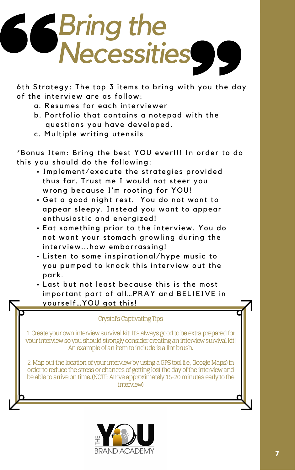# *Bring the Necessities*

6th Strategy: The top 3 items to bring with you the day of the interview are as follow:

- a. Resumes for each interviewer
- b. Portfolio that contains a notepad with the questions you have developed.
- c. Multiple writing utensils

\*Bonus Item: Bring the best YOU ever!!! In order to do this you should do the following:

- Implement/execute the strategies provided thus far. Trust me I would not steer you wrong because I'm rooting for YOU!
- Get a good night rest. You do not want to appear sleepy. Instead you want to appear enthusiastic and energized!
- Eat something prior to the interview. You do not want your stomach growling during the interview...how embarrassing! • Listen to some inspirational/hype music to you pumped to knock this interview out the park. • Last but not least because this is the most important part of all...PRAY and BELIEIVE in yourself... YOU got this!

#### Crystal's Captivating Tips

1. Create your own interview survival kit! It's always good to be extra prepared for your interview so you should strongly consider creating an interview survival kit! An example of an item to include is a lint brush.

2. Map out the location of your interview by using a GPS tool (i.e., Google Maps) in order to reduce the stress or chances of getting lost the day of the interview and be able to arrive on time. (NOTE: Arrive approximately 15-20 minutes early to the interview)

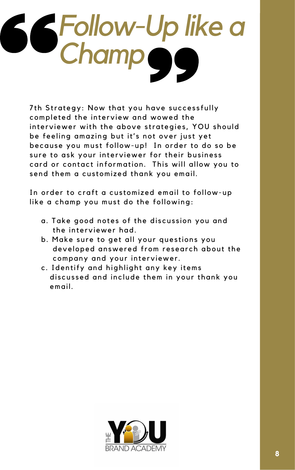

7th Strategy: Now that you have successfully completed the interview and wowed the interviewer with the above strategies, YOU should be feeling amazing but it's not over just yet because you must follow-up! In order to do so be sure to ask your interviewer for their business card or contact information. This will allow you to send them a customized thank you email.

In order to craft a customized email to follow-up like a champ you must do the following:

- a. Take good notes of the discussion you and the interviewer had.
- b. Make sure to get all your questions you developed answered from research about the company and your interviewer.
- c. Identify and highlight any key items discussed and include them in your thank you email.